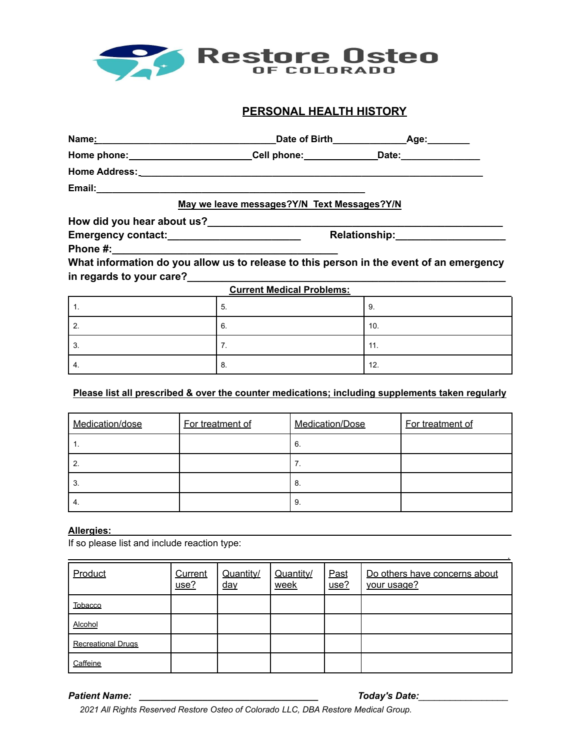

# **PERSONAL HEALTH HISTORY**

|                                             |                                                                                   | Date of Birth Age:             |  |  |  |  |
|---------------------------------------------|-----------------------------------------------------------------------------------|--------------------------------|--|--|--|--|
|                                             | Home phone: __________________________Cell phone: _______________Date: __________ |                                |  |  |  |  |
|                                             |                                                                                   |                                |  |  |  |  |
|                                             |                                                                                   |                                |  |  |  |  |
| May we leave messages?Y/N Text Messages?Y/N |                                                                                   |                                |  |  |  |  |
| How did you hear about us?                  |                                                                                   |                                |  |  |  |  |
|                                             |                                                                                   | Relationship:_________________ |  |  |  |  |
|                                             |                                                                                   |                                |  |  |  |  |

**What information do you allow us to release to this person in the event of an emergency in regards to your care?\_\_\_\_\_\_\_\_\_\_\_\_\_\_\_\_\_\_\_\_\_\_\_\_\_\_\_\_\_\_\_\_\_\_\_\_\_\_\_\_\_\_\_\_\_\_\_\_\_\_\_\_\_\_\_**

|    | <b>Current Medical Problems:</b><br>5. | 9.  |
|----|----------------------------------------|-----|
|    | б.                                     | 10. |
| C. | . .                                    | 11. |
| 4. | 8.                                     | 12. |

## **Please list all prescribed & over the counter medications; including supplements taken regularly**

| Medication/dose | For treatment of | Medication/Dose | For treatment of |
|-----------------|------------------|-----------------|------------------|
|                 |                  | 6.              |                  |
|                 |                  | 7.              |                  |
| 3.              |                  | -8.             |                  |
| -4.             |                  | 9.              |                  |

### **Allergies:**

If so please list and include reaction type:

| Product                   | Current<br>use? | Quantity/<br><u>day</u> | Quantity/<br>week | Past<br>use? | Do others have concerns about<br>your usage? |
|---------------------------|-----------------|-------------------------|-------------------|--------------|----------------------------------------------|
| Tobacco                   |                 |                         |                   |              |                                              |
| Alcohol                   |                 |                         |                   |              |                                              |
| <b>Recreational Drugs</b> |                 |                         |                   |              |                                              |
| Caffeine                  |                 |                         |                   |              |                                              |

*Patient Name: \_\_\_\_\_\_\_\_\_\_\_\_\_\_\_\_\_\_\_\_\_\_\_\_\_\_\_\_\_\_\_\_\_\_ Today's Date:\_\_\_\_\_\_\_\_\_\_\_\_\_\_\_\_\_*

.

*2021 All Rights Reserved Restore Osteo of Colorado LLC, DBA Restore Medical Group.*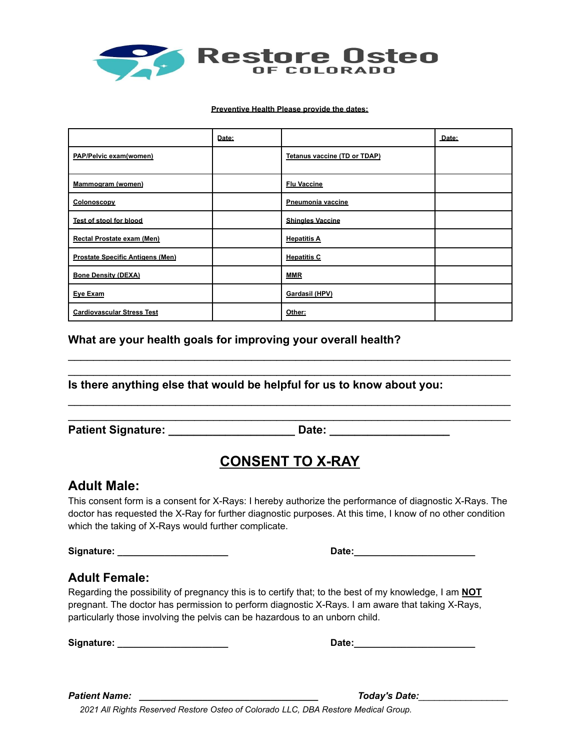

### **Preventive Health Please provide the dates:**

|                                         | Date: |                              | Date: |
|-----------------------------------------|-------|------------------------------|-------|
| PAP/Pelvic exam(women)                  |       | Tetanus vaccine (TD or TDAP) |       |
| Mammogram (women)                       |       | <b>Flu Vaccine</b>           |       |
| Colonoscopy                             |       | Pneumonia vaccine            |       |
| Test of stool for blood                 |       | <b>Shingles Vaccine</b>      |       |
| Rectal Prostate exam (Men)              |       | <b>Hepatitis A</b>           |       |
| <b>Prostate Specific Antigens (Men)</b> |       | <b>Hepatitis C</b>           |       |
| <b>Bone Density (DEXA)</b>              |       | <b>MMR</b>                   |       |
| Eye Exam                                |       | Gardasil (HPV)               |       |
| <b>Cardiovascular Stress Test</b>       |       | Other:                       |       |

## **What are your health goals for improving your overall health?**

## **Is there anything else that would be helpful for us to know about you:**

**Patient Signature: \_\_\_\_\_\_\_\_\_\_\_\_\_\_\_\_\_\_\_\_ Date: \_\_\_\_\_\_\_\_\_\_\_\_\_\_\_\_\_\_\_**

# **CONSENT TO X-RAY**

\_\_\_\_\_\_\_\_\_\_\_\_\_\_\_\_\_\_\_\_\_\_\_\_\_\_\_\_\_\_\_\_\_\_\_\_\_\_\_\_\_\_\_\_\_\_\_\_\_\_\_\_\_\_\_\_\_\_\_\_\_\_\_\_\_\_\_\_\_\_  $\mathcal{L}_\text{max} = \mathcal{L}_\text{max} = \mathcal{L}_\text{max} = \mathcal{L}_\text{max} = \mathcal{L}_\text{max} = \mathcal{L}_\text{max} = \mathcal{L}_\text{max} = \mathcal{L}_\text{max} = \mathcal{L}_\text{max} = \mathcal{L}_\text{max} = \mathcal{L}_\text{max} = \mathcal{L}_\text{max} = \mathcal{L}_\text{max} = \mathcal{L}_\text{max} = \mathcal{L}_\text{max} = \mathcal{L}_\text{max} = \mathcal{L}_\text{max} = \mathcal{L}_\text{max} = \mathcal{$ 

\_\_\_\_\_\_\_\_\_\_\_\_\_\_\_\_\_\_\_\_\_\_\_\_\_\_\_\_\_\_\_\_\_\_\_\_\_\_\_\_\_\_\_\_\_\_\_\_\_\_\_\_\_\_\_\_\_\_\_\_\_\_\_\_\_\_\_\_\_\_

# **Adult Male:**

This consent form is a consent for X-Rays: I hereby authorize the performance of diagnostic X-Rays. The doctor has requested the X-Ray for further diagnostic purposes. At this time, I know of no other condition which the taking of X-Rays would further complicate.

**Signature: \_\_\_\_\_\_\_\_\_\_\_\_\_\_\_\_\_\_\_\_\_ Date:\_\_\_\_\_\_\_\_\_\_\_\_\_\_\_\_\_\_\_\_\_\_\_**

# **Adult Female:**

Regarding the possibility of pregnancy this is to certify that; to the best of my knowledge, I am **NOT** pregnant. The doctor has permission to perform diagnostic X-Rays. I am aware that taking X-Rays, particularly those involving the pelvis can be hazardous to an unborn child.

**Signature: \_\_\_\_\_\_\_\_\_\_\_\_\_\_\_\_\_\_\_\_\_ Date:\_\_\_\_\_\_\_\_\_\_\_\_\_\_\_\_\_\_\_\_\_\_\_**

*Patient Name: \_\_\_\_\_\_\_\_\_\_\_\_\_\_\_\_\_\_\_\_\_\_\_\_\_\_\_\_\_\_\_\_\_\_ Today's Date:\_\_\_\_\_\_\_\_\_\_\_\_\_\_\_\_\_*

*2021 All Rights Reserved Restore Osteo of Colorado LLC, DBA Restore Medical Group.*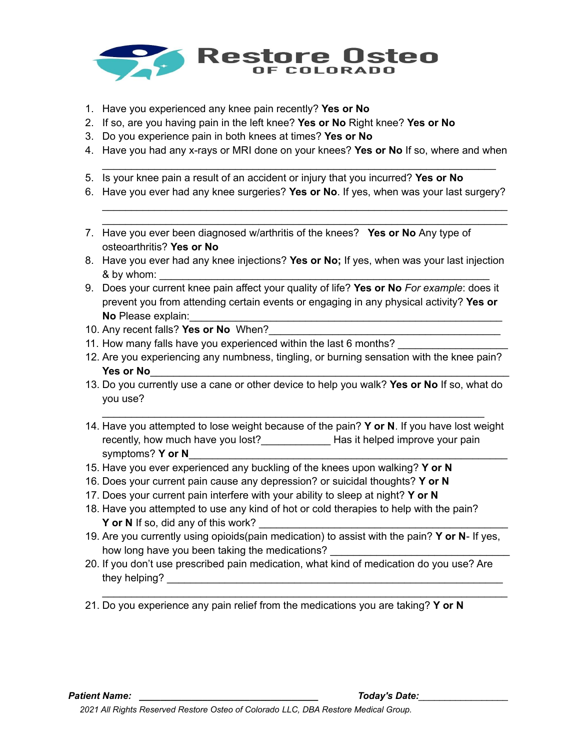

- 1. Have you experienced any knee pain recently? **Yes or No**
- 2. If so, are you having pain in the left knee? **Yes or No** Right knee? **Yes or No**
- 3. Do you experience pain in both knees at times? **Yes or No**
- 4. Have you had any x-rays or MRI done on your knees? **Yes or No** If so, where and when \_\_\_\_\_\_\_\_\_\_\_\_\_\_\_\_\_\_\_\_\_\_\_\_\_\_\_\_\_\_\_\_\_\_\_\_\_\_\_\_\_\_\_\_\_\_\_\_\_\_\_\_\_\_\_\_\_\_\_\_\_\_\_\_\_\_\_\_
- 5. Is your knee pain a result of an accident or injury that you incurred? **Yes or No**
- 6. Have you ever had any knee surgeries? **Yes or No**. If yes, when was your last surgery?

\_\_\_\_\_\_\_\_\_\_\_\_\_\_\_\_\_\_\_\_\_\_\_\_\_\_\_\_\_\_\_\_\_\_\_\_\_\_\_\_\_\_\_\_\_\_\_\_\_\_\_\_\_\_\_\_\_\_\_\_\_\_\_\_\_\_\_\_\_\_ \_\_\_\_\_\_\_\_\_\_\_\_\_\_\_\_\_\_\_\_\_\_\_\_\_\_\_\_\_\_\_\_\_\_\_\_\_\_\_\_\_\_\_\_\_\_\_\_\_\_\_\_\_\_\_\_\_\_\_\_\_\_\_\_\_\_\_\_\_\_

- 7. Have you ever been diagnosed w/arthritis of the knees? **Yes or No** Any type of osteoarthritis? **Yes or No**
- 8. Have you ever had any knee injections? **Yes or No;** If yes, when was your last injection & by whom:
- 9. Does your current knee pain affect your quality of life? **Yes or No** *For example*: does it prevent you from attending certain events or engaging in any physical activity? **Yes or No** Please explain:
- 10. Any recent falls? **Yes or No** When?\_\_\_\_\_\_\_\_\_\_\_\_\_\_\_\_\_\_\_\_\_\_\_\_\_\_\_\_\_\_\_\_\_\_\_\_\_\_\_\_
- 11. How many falls have you experienced within the last 6 months?
- 12. Are you experiencing any numbness, tingling, or burning sensation with the knee pain? **Yes or No**\_\_\_\_\_\_\_\_\_\_\_\_\_\_\_\_\_\_\_\_\_\_\_\_\_\_\_\_\_\_\_\_\_\_\_\_\_\_\_\_\_\_\_\_\_\_\_\_\_\_\_\_\_\_\_\_\_\_\_\_\_\_
- 13. Do you currently use a cane or other device to help you walk? **Yes or No** If so, what do you use?

\_\_\_\_\_\_\_\_\_\_\_\_\_\_\_\_\_\_\_\_\_\_\_\_\_\_\_\_\_\_\_\_\_\_\_\_\_\_\_\_\_\_\_\_\_\_\_\_\_\_\_\_\_\_\_\_\_\_\_\_\_\_\_\_\_\_

- 14. Have you attempted to lose weight because of the pain? **Y or N**. If you have lost weight recently, how much have you lost?\_\_\_\_\_\_\_\_\_\_\_\_ Has it helped improve your pain symptoms? **Y or N**\_\_\_\_\_\_\_\_\_\_\_\_\_\_\_\_\_\_\_\_\_\_\_\_\_\_\_\_\_\_\_\_\_\_\_\_\_\_\_\_\_\_\_\_\_\_\_\_\_\_\_\_\_\_\_
- 15. Have you ever experienced any buckling of the knees upon walking? **Y or N**
- 16. Does your current pain cause any depression? or suicidal thoughts? **Y or N**
- 17. Does your current pain interfere with your ability to sleep at night? **Y or N**
- 18. Have you attempted to use any kind of hot or cold therapies to help with the pain? **Y** or N If so, did any of this work?
- 19. Are you currently using opioids(pain medication) to assist with the pain? **Y or N** If yes, how long have you been taking the medications?
- 20. If you don't use prescribed pain medication, what kind of medication do you use? Are they helping? The state of the state of the state of the state of the state of the state of the state of the state of the state of the state of the state of the state of the state of the state of the state of the state of

\_\_\_\_\_\_\_\_\_\_\_\_\_\_\_\_\_\_\_\_\_\_\_\_\_\_\_\_\_\_\_\_\_\_\_\_\_\_\_\_\_\_\_\_\_\_\_\_\_\_\_\_\_\_\_\_\_\_\_\_\_\_\_\_\_\_\_\_\_\_

21. Do you experience any pain relief from the medications you are taking? **Y or N**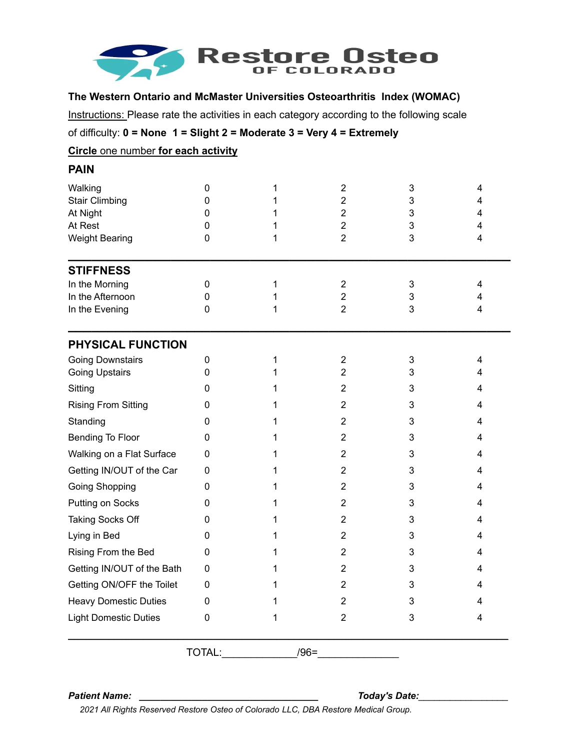

## **The Western Ontario and McMaster Universities Osteoarthritis Index (WOMAC)**

Instructions: Please rate the activities in each category according to the following scale

of difficulty: **0 = None 1 = Slight 2 = Moderate 3 = Very 4 = Extremely**

## **Circle** one number **for each activity**

| <b>PAIN</b>                                                                      |                                 |   |                                                                                                          |                       |                       |
|----------------------------------------------------------------------------------|---------------------------------|---|----------------------------------------------------------------------------------------------------------|-----------------------|-----------------------|
| Walking<br><b>Stair Climbing</b><br>At Night<br>At Rest<br><b>Weight Bearing</b> | 0<br>0<br>0<br>0<br>$\mathbf 0$ | 1 | $\overline{2}$<br>$\overline{2}$<br>$\overline{\mathbf{c}}$<br>$\overline{\mathbf{c}}$<br>$\overline{2}$ | 3<br>3<br>3<br>3<br>3 | 4<br>4<br>4<br>4<br>4 |
| <b>STIFFNESS</b>                                                                 |                                 |   |                                                                                                          |                       |                       |
| In the Morning                                                                   | 0                               | 1 | $\overline{2}$                                                                                           | 3                     | 4                     |
| In the Afternoon                                                                 | 0                               |   | $\overline{2}$                                                                                           | 3                     | 4                     |
| In the Evening                                                                   | $\mathbf{0}$                    |   | $\overline{2}$                                                                                           | 3                     | 4                     |
| PHYSICAL FUNCTION                                                                |                                 |   |                                                                                                          |                       |                       |
| <b>Going Downstairs</b>                                                          | 0                               | 1 | $\overline{2}$                                                                                           | 3                     | 4                     |
| <b>Going Upstairs</b>                                                            | $\mathbf{0}$                    |   | $\overline{2}$                                                                                           | 3                     | 4                     |
| Sitting                                                                          | 0                               | 1 | $\overline{2}$                                                                                           | 3                     | 4                     |
| <b>Rising From Sitting</b>                                                       | 0                               |   | $\overline{2}$                                                                                           | 3                     | 4                     |
| Standing                                                                         | 0                               |   | $\overline{2}$                                                                                           | 3                     | 4                     |
| Bending To Floor                                                                 | 0                               |   | $\overline{2}$                                                                                           | 3                     | 4                     |
| Walking on a Flat Surface                                                        | 0                               | 1 | $\overline{2}$                                                                                           | 3                     | 4                     |
| Getting IN/OUT of the Car                                                        | 0                               | 1 | $\overline{2}$                                                                                           | 3                     | 4                     |
| <b>Going Shopping</b>                                                            | 0                               | 1 | $\overline{2}$                                                                                           | 3                     | 4                     |
| Putting on Socks                                                                 | 0                               |   | $\overline{c}$                                                                                           | 3                     | 4                     |
| Taking Socks Off                                                                 | 0                               |   | $\overline{2}$                                                                                           | 3                     | 4                     |
| Lying in Bed                                                                     | $\mathbf{0}$                    |   | $\overline{2}$                                                                                           | 3                     | 4                     |
| Rising From the Bed                                                              | $\mathbf{0}$                    |   | $\overline{2}$                                                                                           | 3                     | 4                     |
| Getting IN/OUT of the Bath                                                       | 0                               |   | $\overline{2}$                                                                                           | 3                     | 4                     |
| Getting ON/OFF the Toilet                                                        | 0                               |   | 2                                                                                                        | 3                     | Δ                     |
| <b>Heavy Domestic Duties</b>                                                     | 0                               |   | $\overline{\mathbf{c}}$                                                                                  | 3                     | 4                     |
| <b>Light Domestic Duties</b>                                                     | 0                               | 1 | $\overline{\mathbf{c}}$                                                                                  | 3                     | 4                     |
|                                                                                  | TOTAL:                          |   | $/96 =$                                                                                                  |                       |                       |

*Patient Name: \_\_\_\_\_\_\_\_\_\_\_\_\_\_\_\_\_\_\_\_\_\_\_\_\_\_\_\_\_\_\_\_\_\_ Today's Date:\_\_\_\_\_\_\_\_\_\_\_\_\_\_\_\_\_*

*2021 All Rights Reserved Restore Osteo of Colorado LLC, DBA Restore Medical Group.*